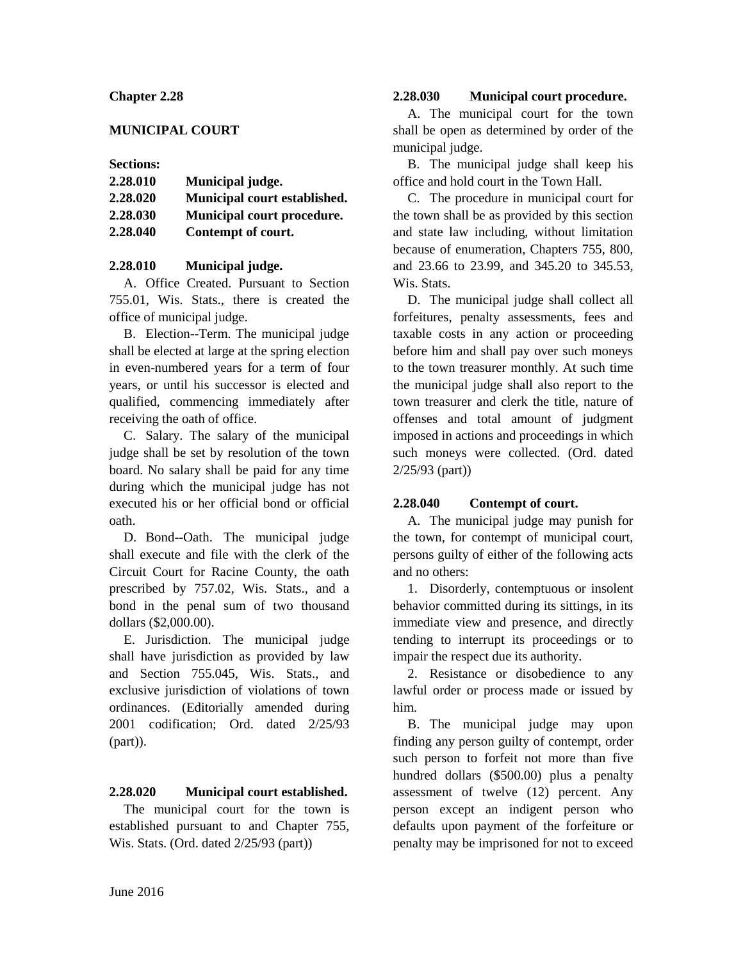# **Chapter 2.28**

# **MUNICIPAL COURT**

### **Sections:**

| 2.28.010 | Municipal judge.             |
|----------|------------------------------|
| 2.28.020 | Municipal court established. |
| 2.28.030 | Municipal court procedure.   |
| 2.28.040 | Contempt of court.           |

# **2.28.010 Municipal judge.**

A. Office Created. Pursuant to Section 755.01, Wis. Stats., there is created the office of municipal judge.

B. Election--Term. The municipal judge shall be elected at large at the spring election in even-numbered years for a term of four years, or until his successor is elected and qualified, commencing immediately after receiving the oath of office.

C. Salary. The salary of the municipal judge shall be set by resolution of the town board. No salary shall be paid for any time during which the municipal judge has not executed his or her official bond or official oath.

D. Bond--Oath. The municipal judge shall execute and file with the clerk of the Circuit Court for Racine County, the oath prescribed by 757.02, Wis. Stats., and a bond in the penal sum of two thousand dollars (\$2,000.00).

E. Jurisdiction. The municipal judge shall have jurisdiction as provided by law and Section 755.045, Wis. Stats., and exclusive jurisdiction of violations of town ordinances. (Editorially amended during 2001 codification; Ord. dated 2/25/93 (part)).

### **2.28.020 Municipal court established.**

The municipal court for the town is established pursuant to and Chapter 755, Wis. Stats. (Ord. dated 2/25/93 (part))

# **2.28.030 Municipal court procedure.**

A. The municipal court for the town shall be open as determined by order of the municipal judge.

B. The municipal judge shall keep his office and hold court in the Town Hall.

C. The procedure in municipal court for the town shall be as provided by this section and state law including, without limitation because of enumeration, Chapters 755, 800, and 23.66 to 23.99, and 345.20 to 345.53, Wis. Stats.

D. The municipal judge shall collect all forfeitures, penalty assessments, fees and taxable costs in any action or proceeding before him and shall pay over such moneys to the town treasurer monthly. At such time the municipal judge shall also report to the town treasurer and clerk the title, nature of offenses and total amount of judgment imposed in actions and proceedings in which such moneys were collected. (Ord. dated 2/25/93 (part))

### **2.28.040 Contempt of court.**

A. The municipal judge may punish for the town, for contempt of municipal court, persons guilty of either of the following acts and no others:

1. Disorderly, contemptuous or insolent behavior committed during its sittings, in its immediate view and presence, and directly tending to interrupt its proceedings or to impair the respect due its authority.

2. Resistance or disobedience to any lawful order or process made or issued by him.

B. The municipal judge may upon finding any person guilty of contempt, order such person to forfeit not more than five hundred dollars (\$500.00) plus a penalty assessment of twelve (12) percent. Any person except an indigent person who defaults upon payment of the forfeiture or penalty may be imprisoned for not to exceed